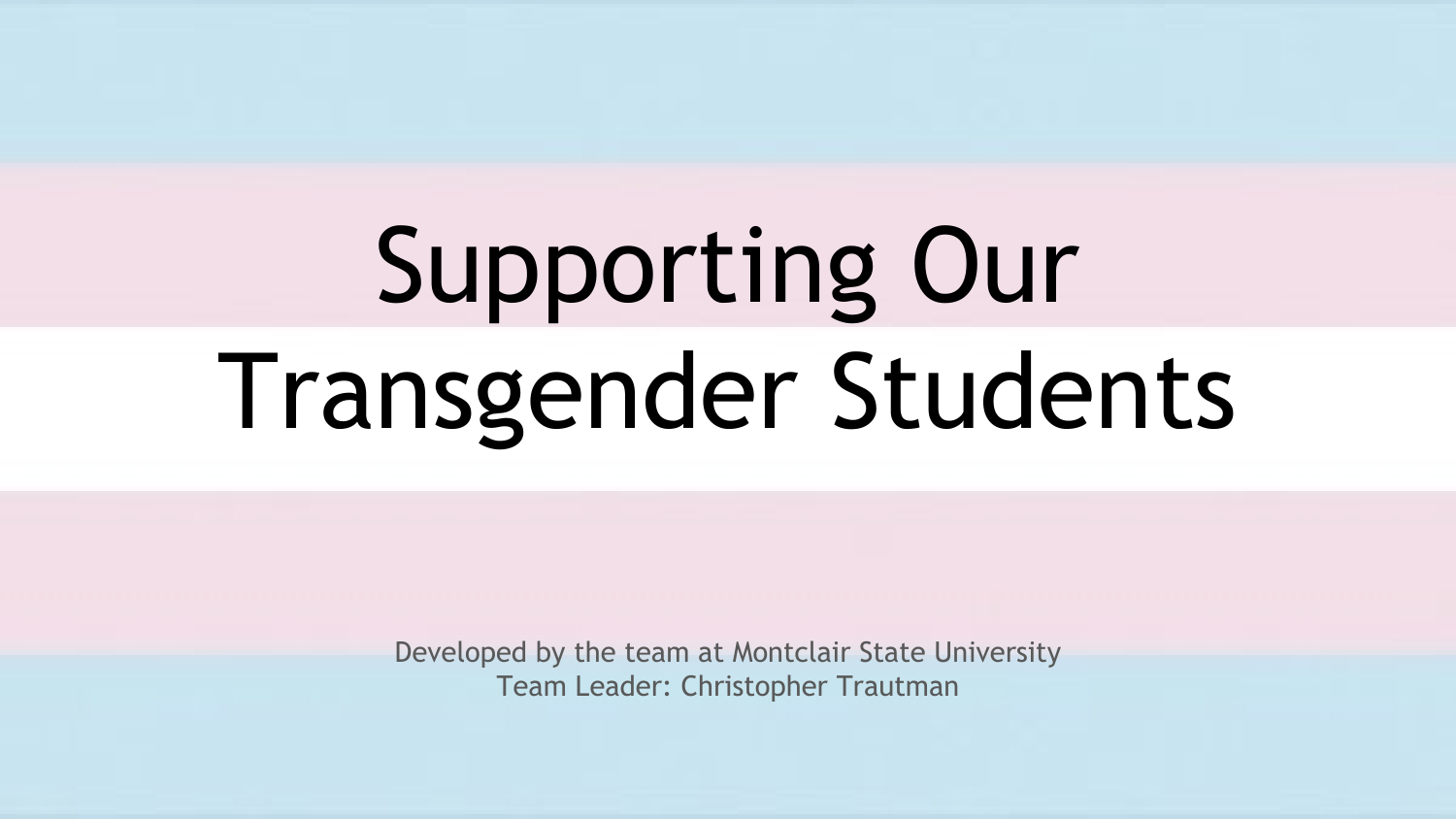# Supporting Our Transgender Students

Developed by the team at Montclair State University Team Leader: Christopher Trautman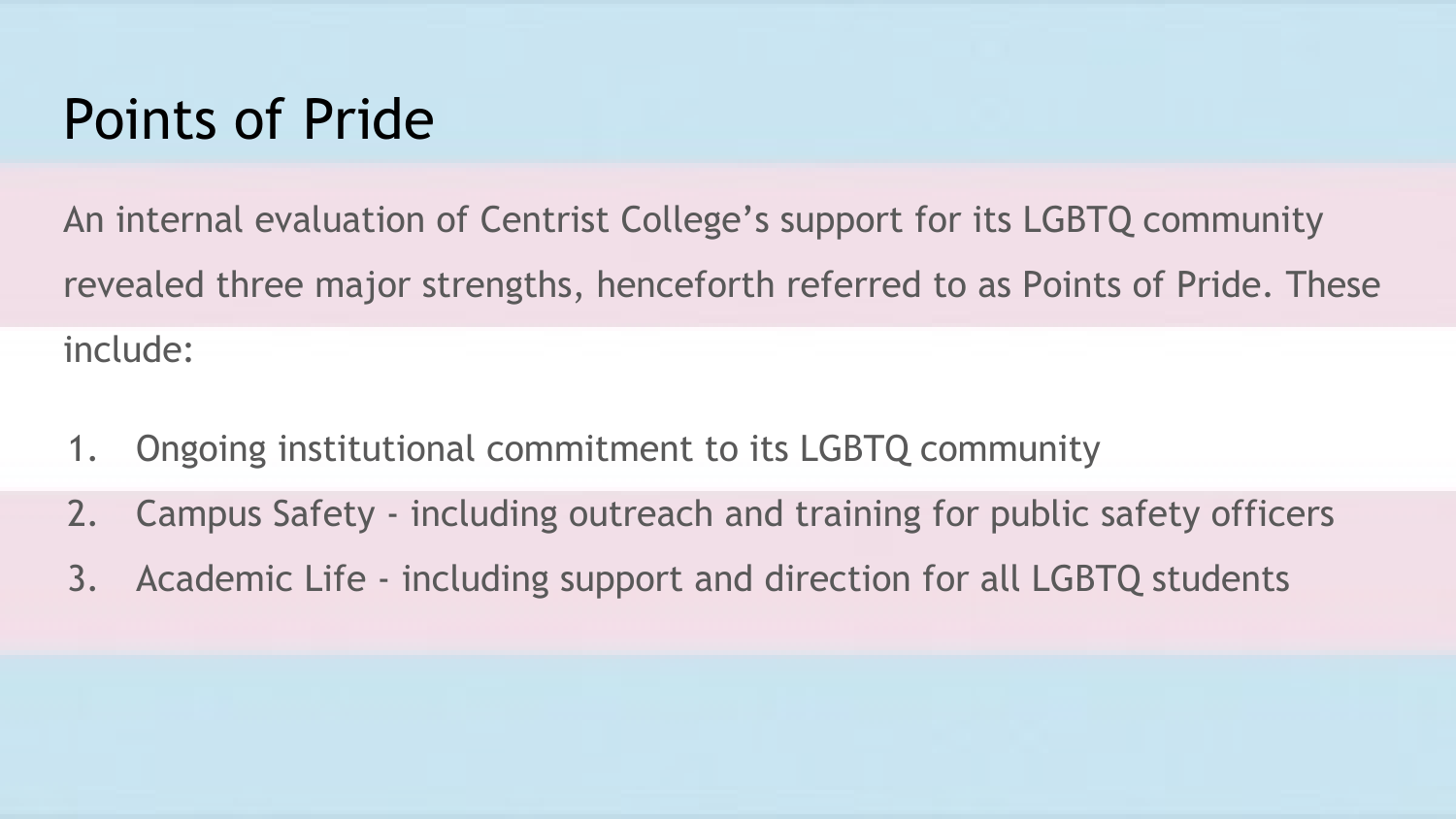#### Points of Pride

An internal evaluation of Centrist College's support for its LGBTQ community revealed three major strengths, henceforth referred to as Points of Pride. These include:

- 1. Ongoing institutional commitment to its LGBTQ community
- 2. Campus Safety including outreach and training for public safety officers
- 3. Academic Life including support and direction for all LGBTQ students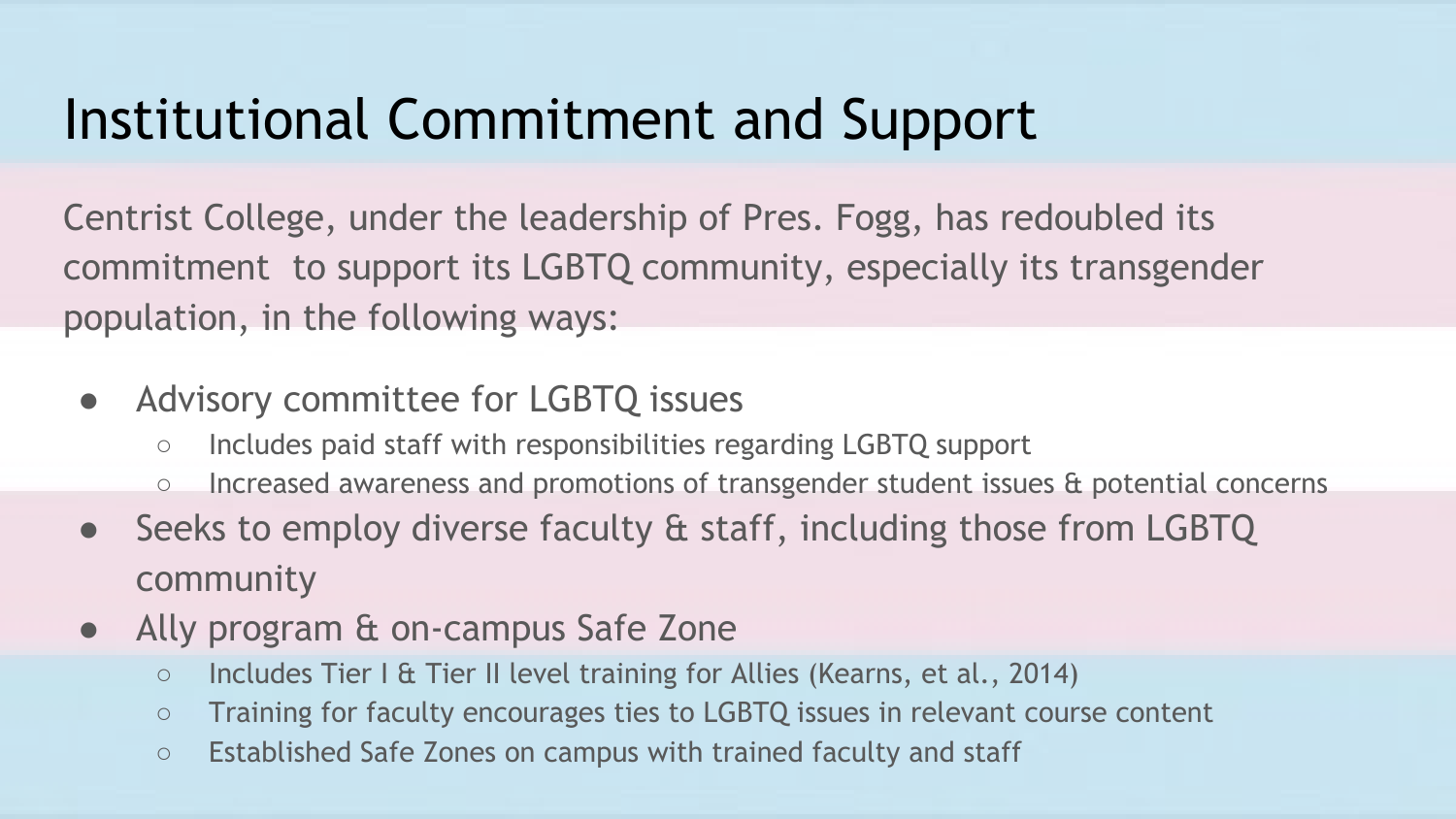## Institutional Commitment and Support

Centrist College, under the leadership of Pres. Fogg, has redoubled its commitment to support its LGBTQ community, especially its transgender population, in the following ways:

- Advisory committee for LGBTQ issues
	- Includes paid staff with responsibilities regarding LGBTQ support
	- Increased awareness and promotions of transgender student issues & potential concerns
- Seeks to employ diverse faculty & staff, including those from LGBTQ community
- Ally program & on-campus Safe Zone
	- Includes Tier I & Tier II level training for Allies (Kearns, et al., 2014)
	- Training for faculty encourages ties to LGBTQ issues in relevant course content
	- Established Safe Zones on campus with trained faculty and staff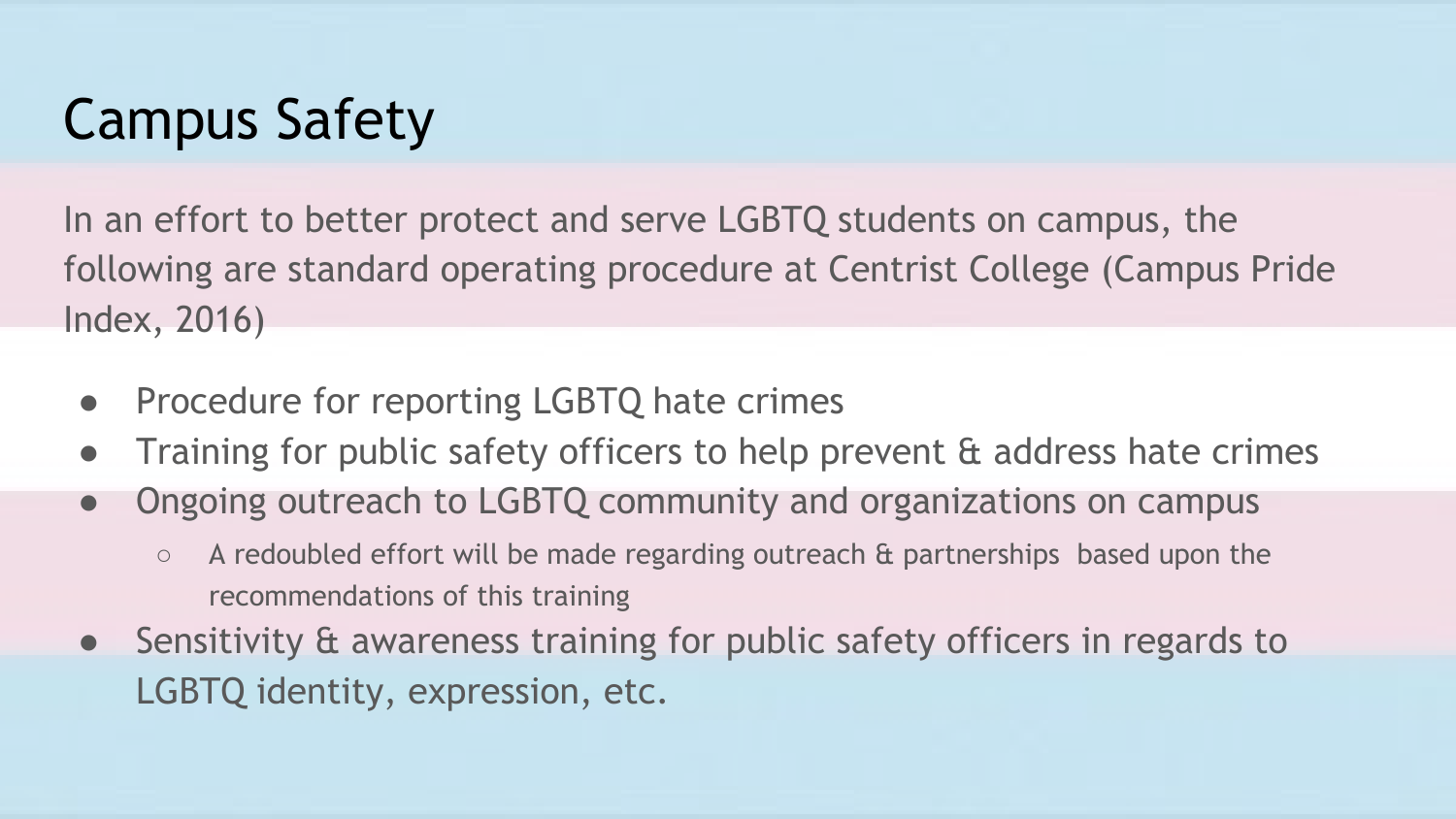# Campus Safety

In an effort to better protect and serve LGBTQ students on campus, the following are standard operating procedure at Centrist College (Campus Pride Index, 2016)

- Procedure for reporting LGBTQ hate crimes
- Training for public safety officers to help prevent & address hate crimes
- Ongoing outreach to LGBTQ community and organizations on campus
	- A redoubled effort will be made regarding outreach & partnerships based upon the recommendations of this training
- Sensitivity & awareness training for public safety officers in regards to LGBTQ identity, expression, etc.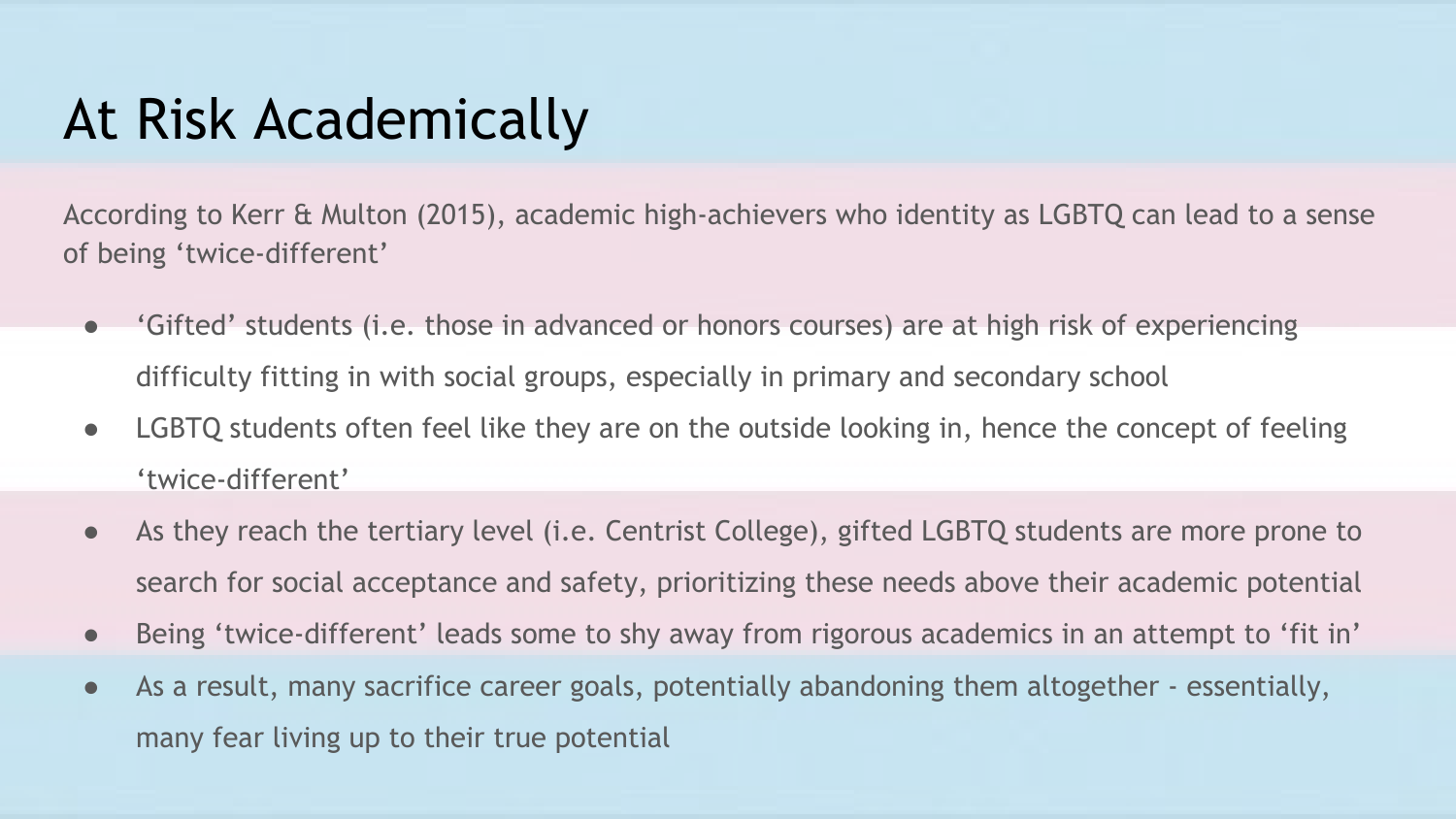## At Risk Academically

According to Kerr & Multon (2015), academic high-achievers who identity as LGBTQ can lead to a sense of being 'twice-different'

- 'Gifted' students (i.e. those in advanced or honors courses) are at high risk of experiencing difficulty fitting in with social groups, especially in primary and secondary school
- LGBTQ students often feel like they are on the outside looking in, hence the concept of feeling 'twice-different'
- As they reach the tertiary level (i.e. Centrist College), gifted LGBTQ students are more prone to search for social acceptance and safety, prioritizing these needs above their academic potential
- Being 'twice-different' leads some to shy away from rigorous academics in an attempt to 'fit in'
- As a result, many sacrifice career goals, potentially abandoning them altogether essentially, many fear living up to their true potential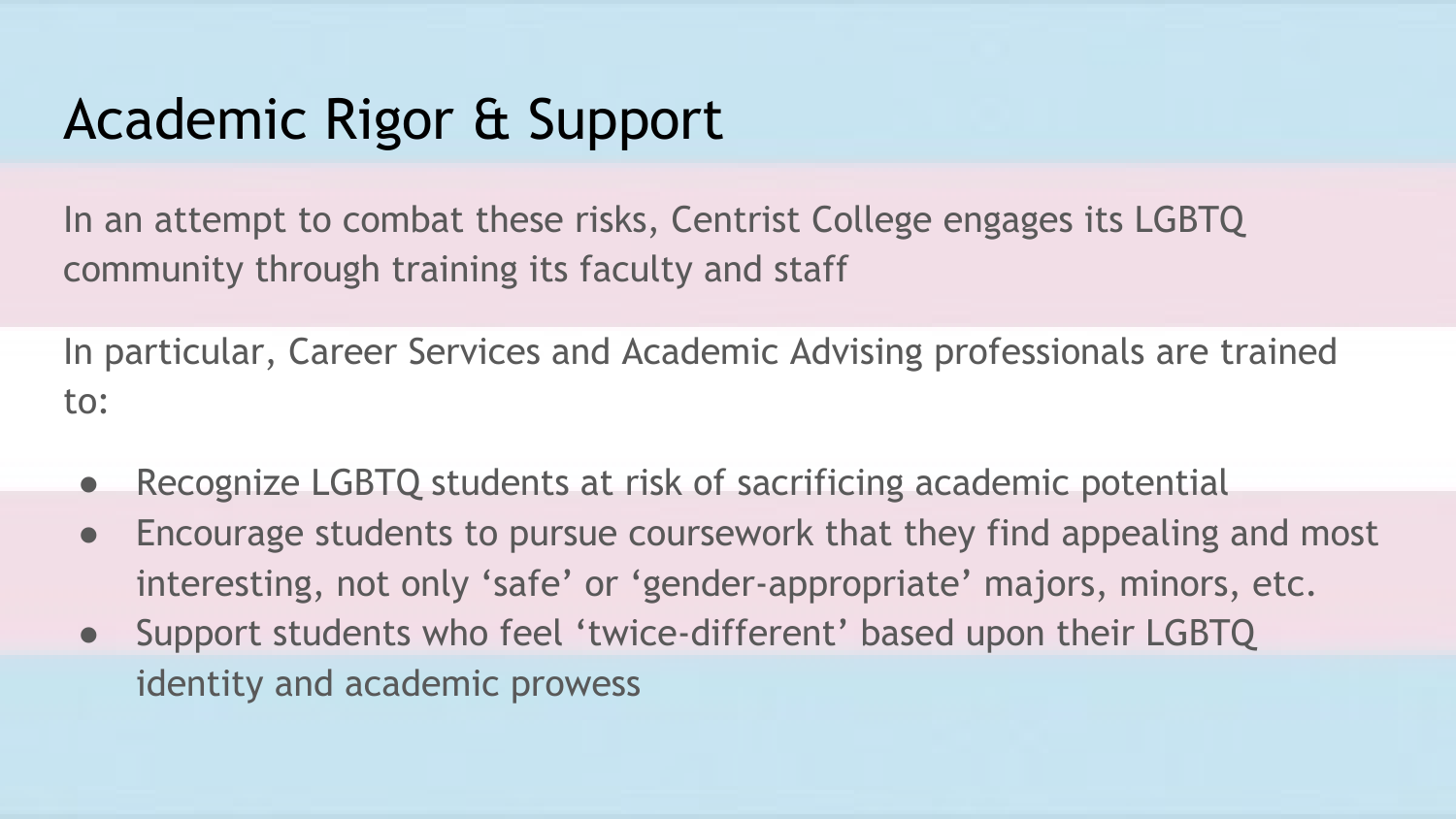# Academic Rigor & Support

In an attempt to combat these risks, Centrist College engages its LGBTQ community through training its faculty and staff

In particular, Career Services and Academic Advising professionals are trained to:

- Recognize LGBTQ students at risk of sacrificing academic potential
- Encourage students to pursue coursework that they find appealing and most interesting, not only 'safe' or 'gender-appropriate' majors, minors, etc.
- Support students who feel 'twice-different' based upon their LGBTQ identity and academic prowess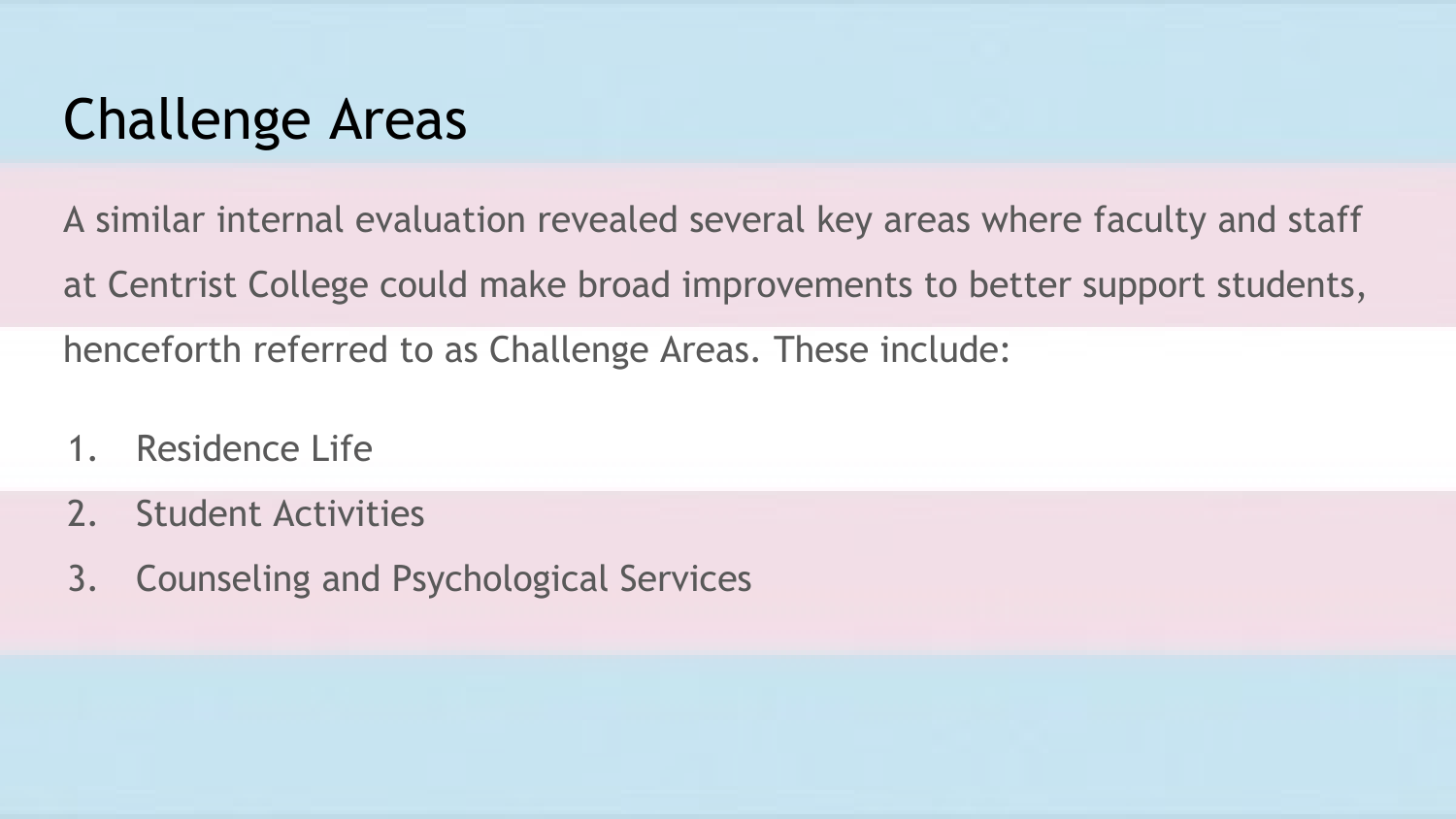#### Challenge Areas

A similar internal evaluation revealed several key areas where faculty and staff

at Centrist College could make broad improvements to better support students,

henceforth referred to as Challenge Areas. These include:

- 1. Residence Life
- 2. Student Activities
- 3. Counseling and Psychological Services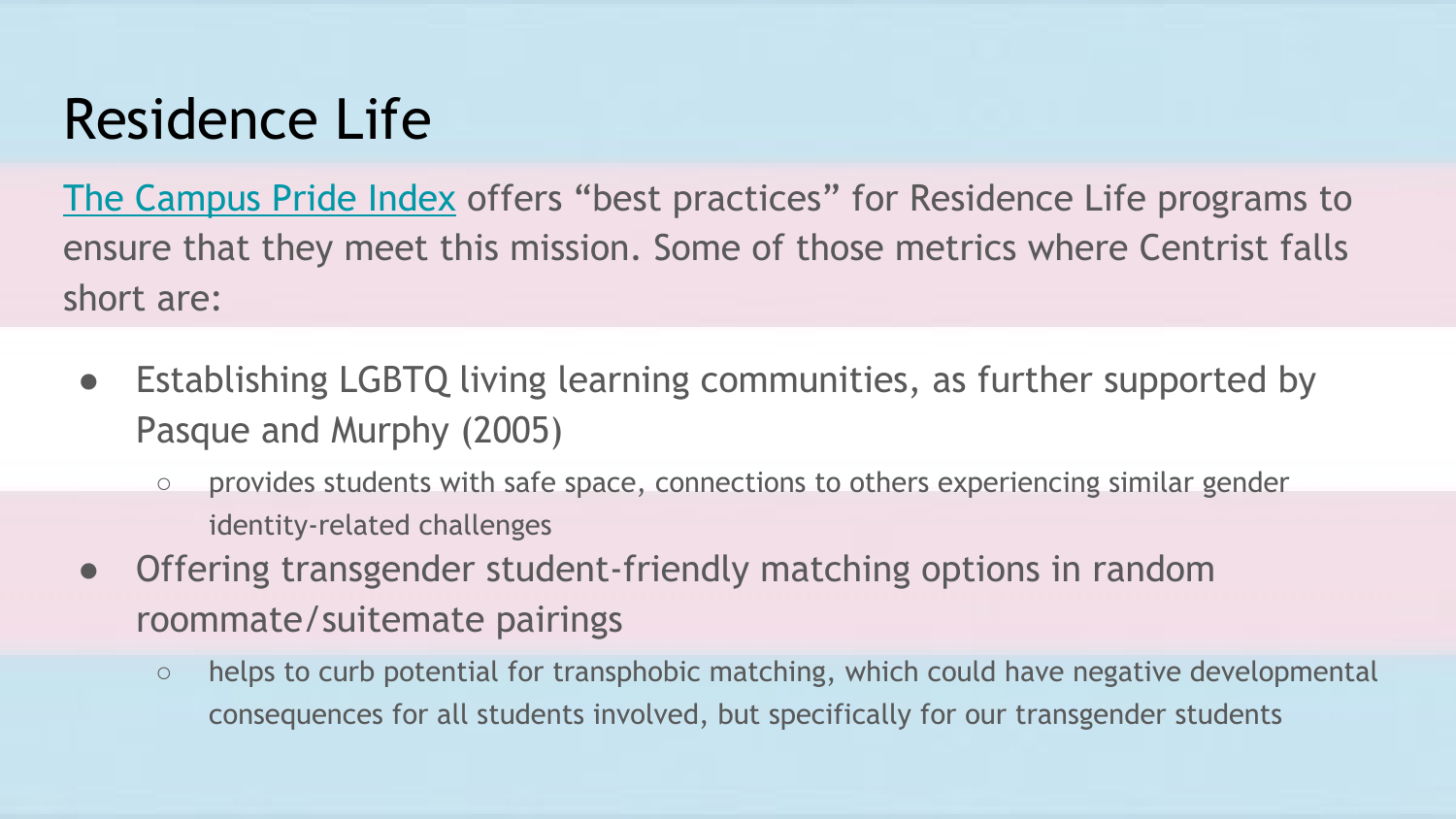#### Residence Life

[The Campus Pride Index](https://www.campusprideindex.org/) offers "best practices" for Residence Life programs to ensure that they meet this mission. Some of those metrics where Centrist falls short are:

- Establishing LGBTQ living learning communities, as further supported by Pasque and Murphy (2005)
	- provides students with safe space, connections to others experiencing similar gender identity-related challenges
- Offering transgender student-friendly matching options in random roommate/suitemate pairings
	- helps to curb potential for transphobic matching, which could have negative developmental consequences for all students involved, but specifically for our transgender students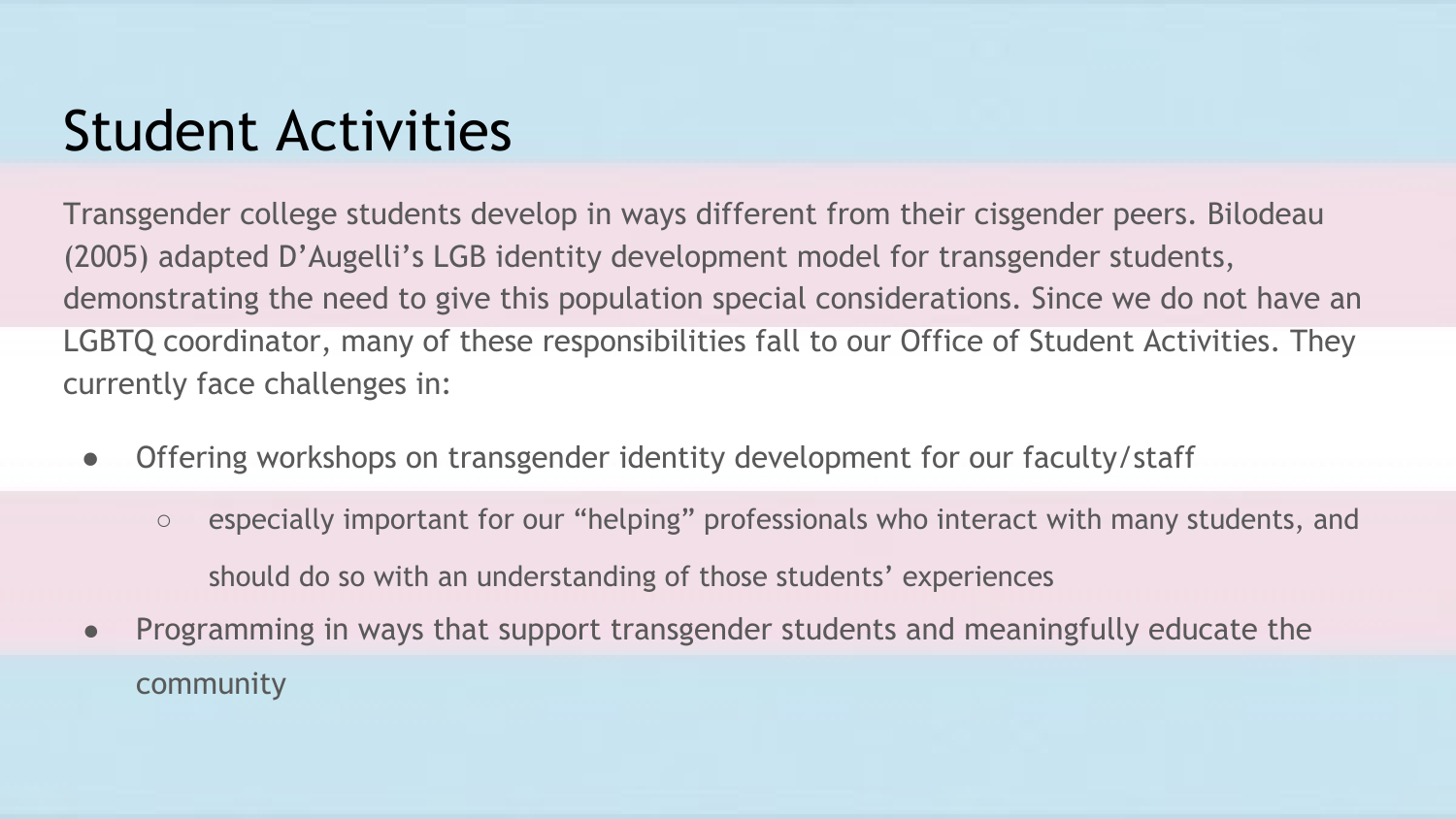#### Student Activities

Transgender college students develop in ways different from their cisgender peers. Bilodeau (2005) adapted D'Augelli's LGB identity development model for transgender students, demonstrating the need to give this population special considerations. Since we do not have an LGBTQ coordinator, many of these responsibilities fall to our Office of Student Activities. They currently face challenges in:

- Offering workshops on transgender identity development for our faculty/staff
	- especially important for our "helping" professionals who interact with many students, and should do so with an understanding of those students' experiences
- Programming in ways that support transgender students and meaningfully educate the community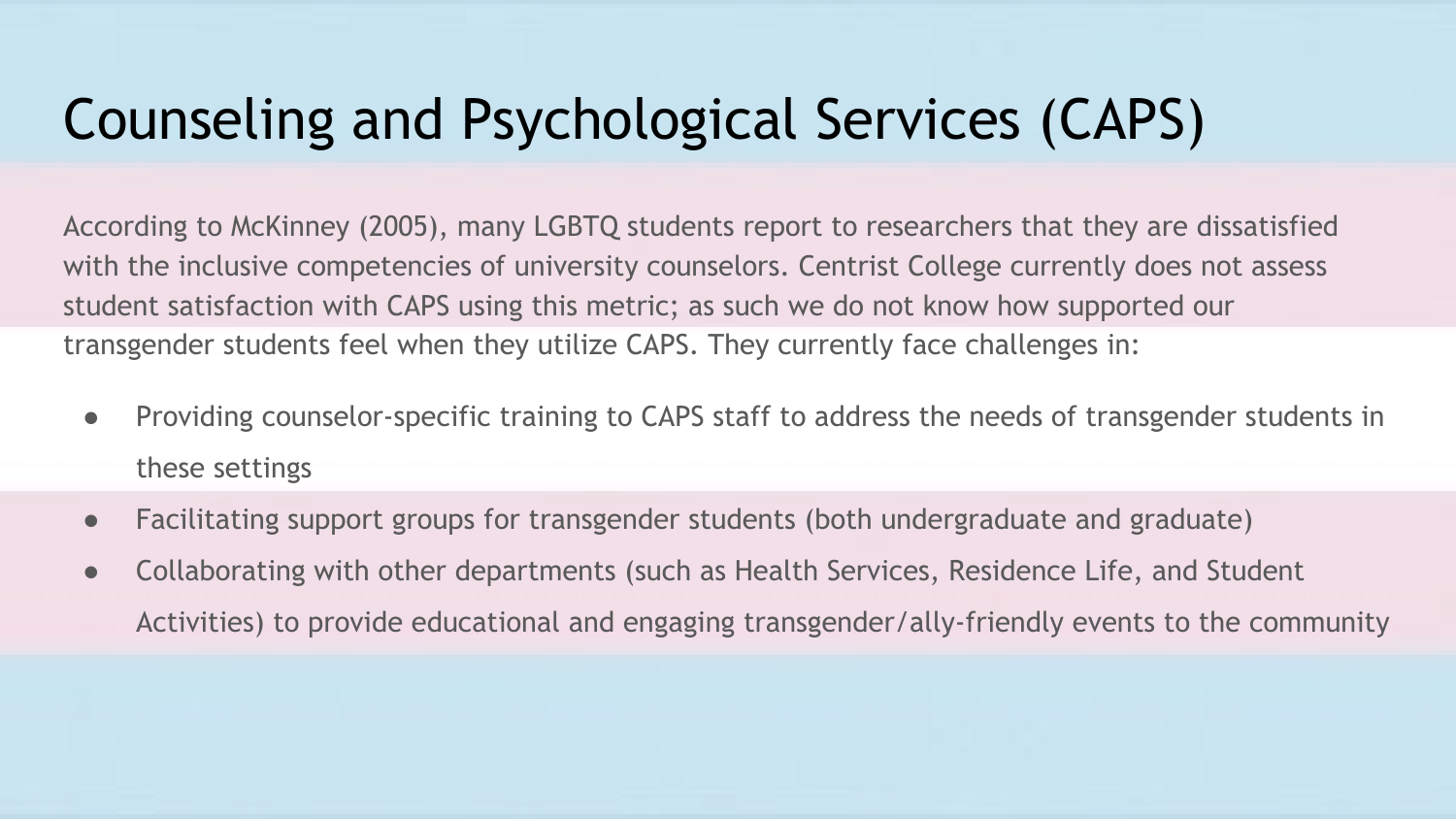## Counseling and Psychological Services (CAPS)

According to McKinney (2005), many LGBTQ students report to researchers that they are dissatisfied with the inclusive competencies of university counselors. Centrist College currently does not assess student satisfaction with CAPS using this metric; as such we do not know how supported our transgender students feel when they utilize CAPS. They currently face challenges in:

- Providing counselor-specific training to CAPS staff to address the needs of transgender students in these settings
- Facilitating support groups for transgender students (both undergraduate and graduate)
- Collaborating with other departments (such as Health Services, Residence Life, and Student Activities) to provide educational and engaging transgender/ally-friendly events to the community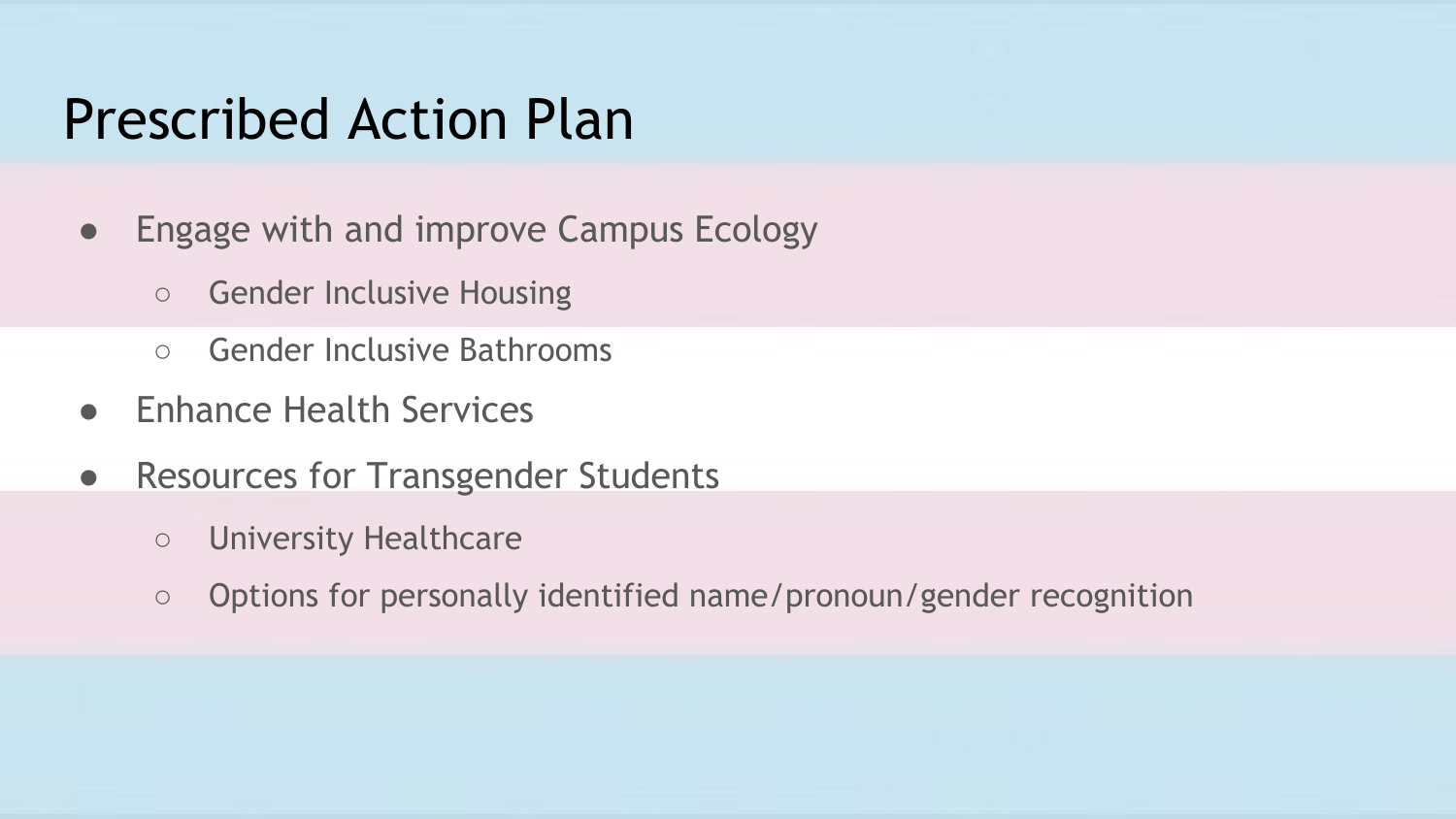#### Prescribed Action Plan

- Engage with and improve Campus Ecology
	- Gender Inclusive Housing
	- Gender Inclusive Bathrooms
- **Enhance Health Services**
- Resources for Transgender Students
	- University Healthcare
	- Options for personally identified name/pronoun/gender recognition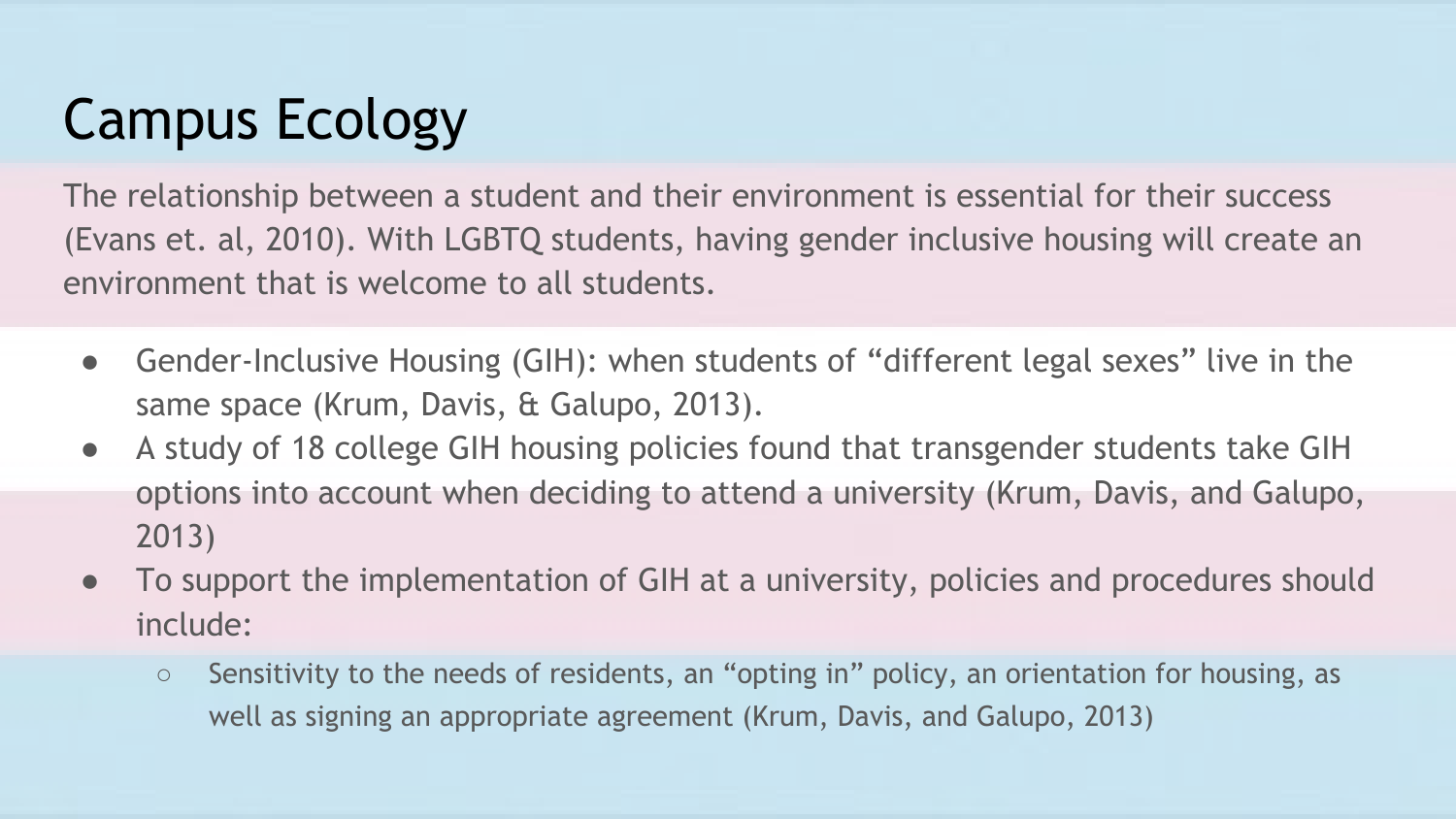# Campus Ecology

The relationship between a student and their environment is essential for their success (Evans et. al, 2010). With LGBTQ students, having gender inclusive housing will create an environment that is welcome to all students.

- Gender-Inclusive Housing (GIH): when students of "different legal sexes" live in the same space (Krum, Davis, & Galupo, 2013).
- A study of 18 college GIH housing policies found that transgender students take GIH options into account when deciding to attend a university (Krum, Davis, and Galupo, 2013)
- To support the implementation of GIH at a university, policies and procedures should include:
	- Sensitivity to the needs of residents, an "opting in" policy, an orientation for housing, as well as signing an appropriate agreement (Krum, Davis, and Galupo, 2013)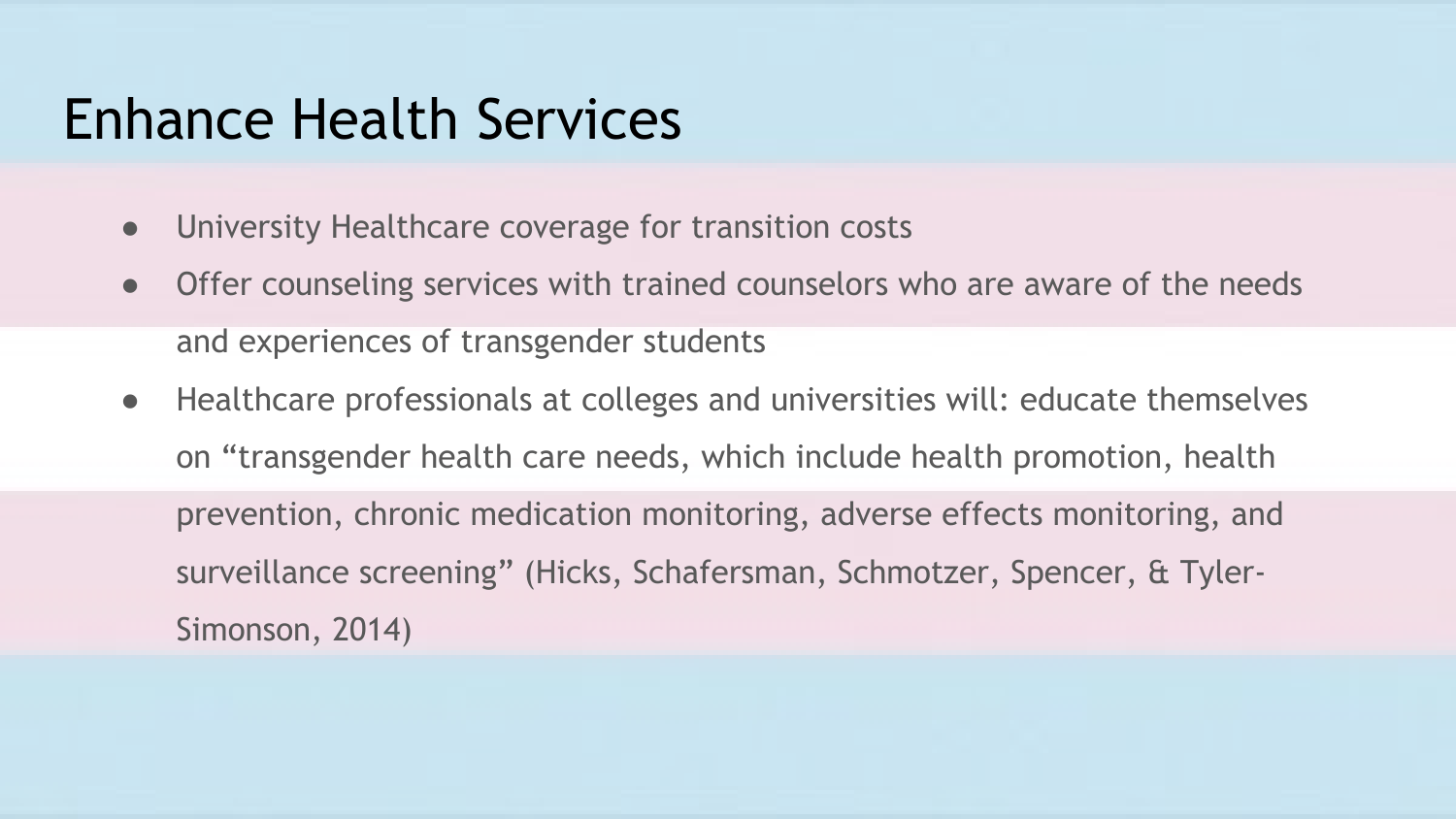#### Enhance Health Services

- University Healthcare coverage for transition costs
- Offer counseling services with trained counselors who are aware of the needs and experiences of transgender students
- Healthcare professionals at colleges and universities will: educate themselves on "transgender health care needs, which include health promotion, health prevention, chronic medication monitoring, adverse effects monitoring, and surveillance screening" (Hicks, Schafersman, Schmotzer, Spencer, & Tyler-Simonson, 2014)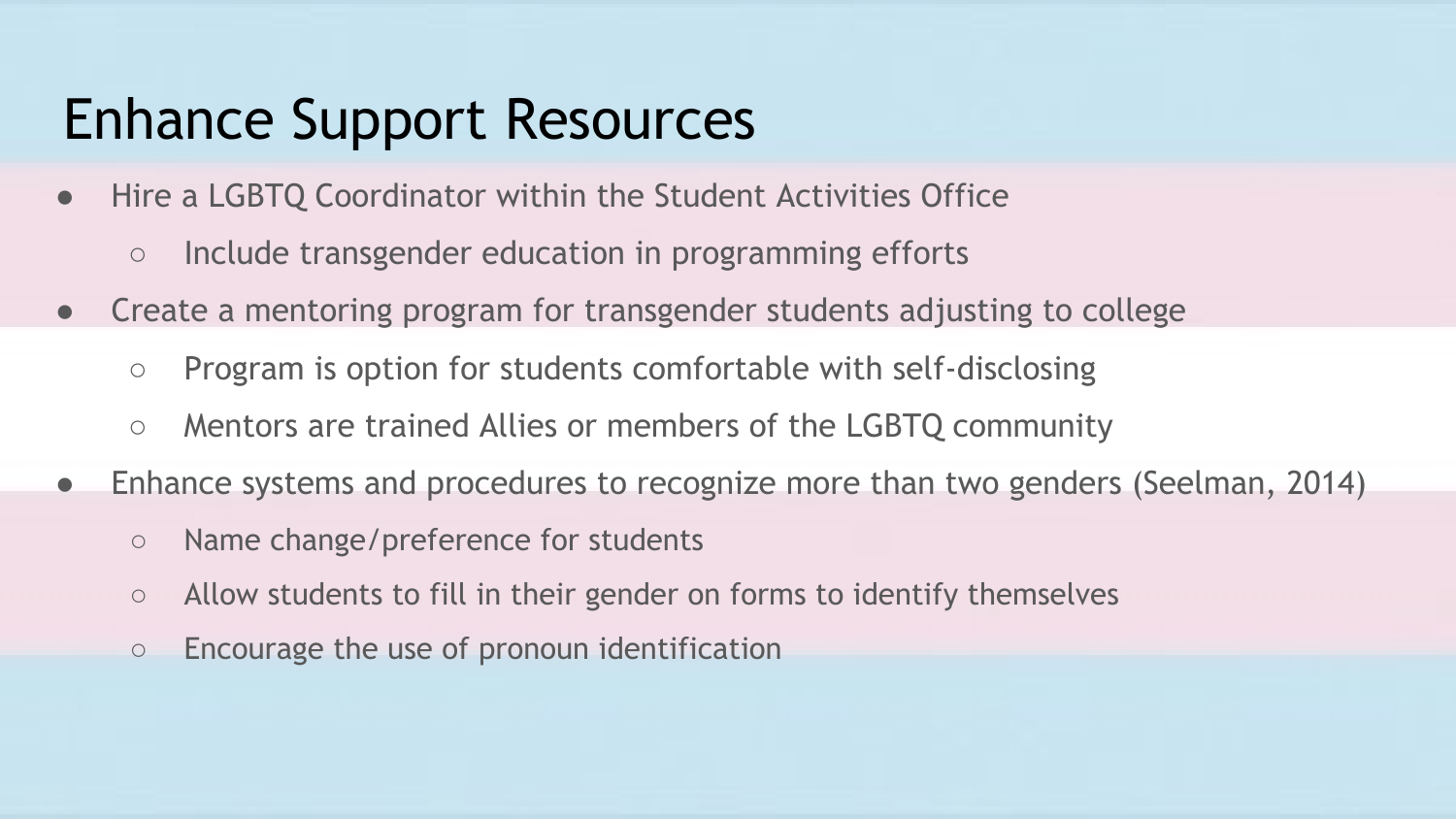#### Enhance Support Resources

- Hire a LGBTQ Coordinator within the Student Activities Office
	- Include transgender education in programming efforts
- Create a mentoring program for transgender students adjusting to college
	- Program is option for students comfortable with self-disclosing
	- Mentors are trained Allies or members of the LGBTQ community
- Enhance systems and procedures to recognize more than two genders (Seelman, 2014)
	- Name change/preference for students
	- Allow students to fill in their gender on forms to identify themselves
	- Encourage the use of pronoun identification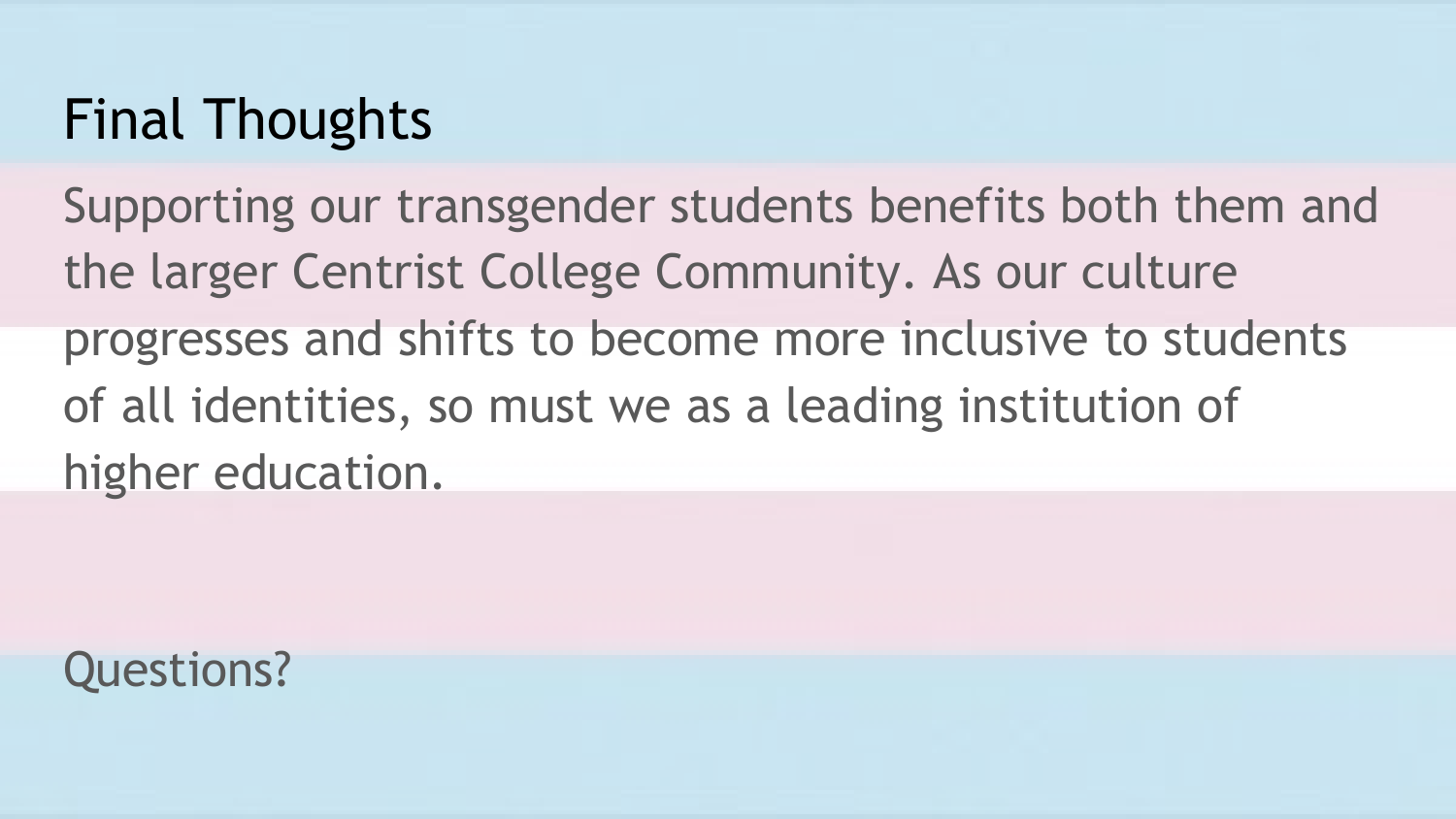## Final Thoughts

Supporting our transgender students benefits both them and the larger Centrist College Community. As our culture progresses and shifts to become more inclusive to students of all identities, so must we as a leading institution of higher education.

Questions?